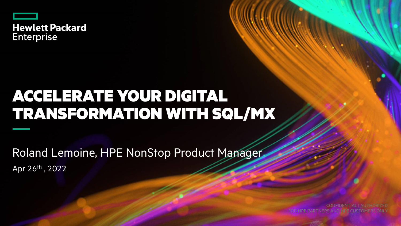

# ACCELERATE YOUR DIGITAL TRANSFORMATION WITH SQL/MX

Apr 26th , 2022 Roland Lemoine, HPE NonStop Product Manager

CONFIDENTIAL | AUTHORIZED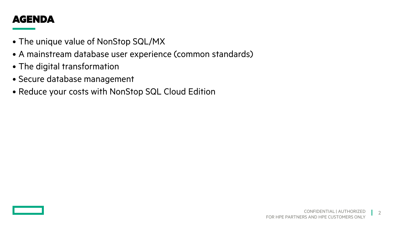#### AGENDA

- The unique value of NonStop SQL/MX
- A mainstream database user experience (common standards)
- The digital transformation
- Secure database management
- Reduce your costs with NonStop SQL Cloud Edition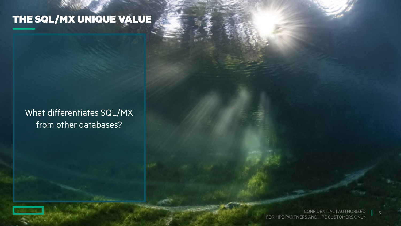# THE SQL/MX UNIQUE VALUE

#### What differentiates SQL/MX from other databases?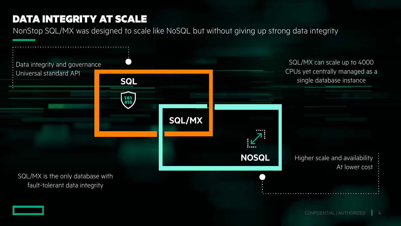#### DATA INTEGRITY AT SCALE

NonStop SQL/MX was designed to scale like NoSQL but without giving up strong data integrity

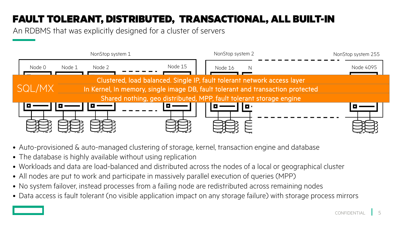## FAULT TOLERANT, DISTRIBUTED, TRANSACTIONAL, ALL BUILT-IN

An RDBMS that was explicitly designed for a cluster of servers



- Auto-provisioned & auto-managed clustering of storage, kernel, transaction engine and database
- The database is highly available without using replication
- Workloads and data are load-balanced and distributed across the nodes of a local or geographical cluster
- All nodes are put to work and participate in massively parallel execution of queries (MPP)
- No system failover, instead processes from a failing node are redistributed across remaining nodes
- Data access is fault tolerant (no visible application impact on any storage failure) with storage process mirrors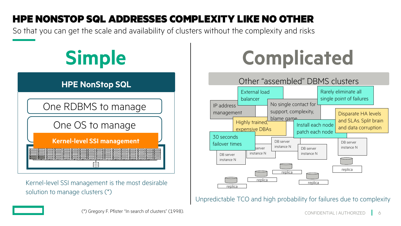## HPE NONSTOP SQL ADDRESSES COMPLEXITY LIKE NO OTHER

So that you can get the scale and availability of clusters without the complexity and risks

# **Simple ComplicatedHPE NonStop SQL** One RDBMS to manage One OS to manage **Kernel-level SSI management** ξË3

Kernel-level SSI management is the most desirable solution to manage clusters (\*)



Unpredictable TCO and high probability for failures due to complexity

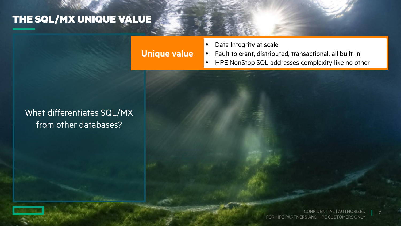## THE SQL/MX UNIQUE VALUE

#### **Unique value**

- Data Integrity at scale
- Fault tolerant, distributed, transactional, all built-in
- HPE NonStop SQL addresses complexity like no other

#### What differentiates SQL/MX from other databases?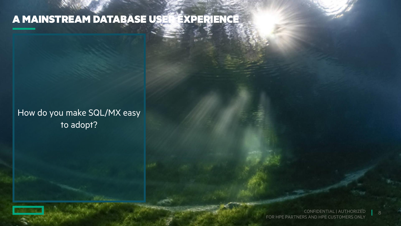## A MAINSTREAM DATABASE USER EXPERIENCE

How do you make SQL/MX easy to adopt?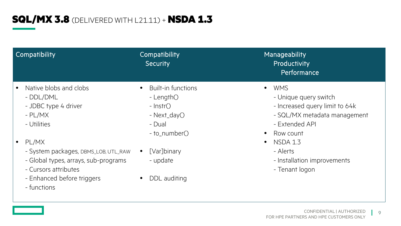## **SQL/MX 3.8** (DELIVERED WITH L21.11) + NSDA 1.3

| Compatibility                                                                                                                                              | Compatibility<br><b>Security</b>                                                                     | Manageability<br>Productivity<br>Performance                                                                                                                   |
|------------------------------------------------------------------------------------------------------------------------------------------------------------|------------------------------------------------------------------------------------------------------|----------------------------------------------------------------------------------------------------------------------------------------------------------------|
| Native blobs and clobs<br>- DDL/DML<br>- JDBC type 4 driver<br>$-$ PL/MX<br>- Utilities                                                                    | <b>Built-in functions</b><br>- Length()<br>$-$ lnstr $()$<br>- Next_day()<br>- Dual<br>- to_number() | <b>WMS</b><br>$\bullet$<br>- Unique query switch<br>- Increased query limit to 64k<br>- SQL/MX metadata management<br>- Extended API<br>Row count<br>$\bullet$ |
| PL/MX<br>- System packages, DBMS_LOB, UTL_RAW<br>- Global types, arrays, sub-programs<br>- Cursors attributes<br>- Enhanced before triggers<br>- functions | [Var]binary<br>$\bullet$<br>- update<br>DDL auditing                                                 | <b>NSDA 1.3</b><br>$\bullet$<br>- Alerts<br>- Installation improvements<br>- Tenant logon                                                                      |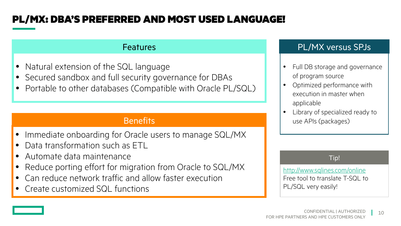### PL/MX: DBA'S PREFERRED AND MOST USED LANGUAGE!

#### **Features**

- Natural extension of the SQL language
- Secured sandbox and full security governance for DBAs
- Portable to other databases (Compatible with Oracle PL/SQL)

#### **Benefits**

- Immediate onboarding for Oracle users to manage SQL/MX
- Data transformation such as ETL
- Automate data maintenance
- Reduce porting effort for migration from Oracle to SQL/MX
- Can reduce network traffic and allow faster execution
- Create customized SQL functions

#### PL/MX versus SPJs

- Full DB storage and governance of program source
- Optimized performance with execution in master when applicable
- Library of specialized ready to use APIs (packages)

#### Tip!

http[://www.sqlines.com/online](http://www.sqlines.com/online) Free tool to translate T-SQL to PL/SQL very easily!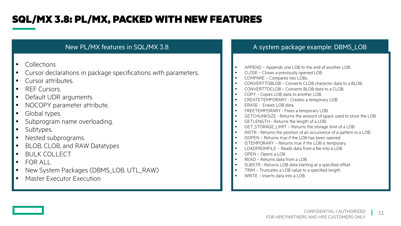#### SQL/MX 3.8: PL/MX, PACKED WITH NEW FEATURES

- Collections
- Cursor declarations in package specifications with parameters.
- Cursor attributes.
- REF Cursors.
- Default UDR arguments.
- NOCOPY parameter attribute.
- Global types.
- Subprogram name overloading.
- Subtypes.
- Nested subprograms.
- BLOB, CLOB, and RAW Datatypes
- BULK COLLECT
- FOR ALL
- New System Packages (DBMS\_LOB, UTL\_RAW)
- Master Executor Execution

#### New PL/MX features in SQL/MX 3.8 A system package example: DBMS\_LOB

- APPEND Appends one LOB to the end of another LOB.
- CLOSE Closes a previously opened LOB.
- COMPARE Compares two LOBs.
- CONVERTTOBLOB Converts CLOB character data to a BLOB.
- CONVERTTOCLOB Converts BLOB data to a CLOB.
- COPY Copies LOB data to another LOB.
- CREATETEMPORARY Creates a temporary LOB.
- ERASE Erases LOB data.
- FREETEMPORARY Frees a temporary LOB.
- GETCHUNKSIZE Returns the amount of space used to store the LOB.
- GETLENGTH Returns the length of a LOB.
- GET\_STORAGE\_LIMIT Returns the storage limit of a LOB.
- INSTR Returns the position of an occurrence of a pattern in a LOB.
- ISOPEN Returns true if the LOB has been opened.
- ISTEMPORARY Returns true if the LOB is temporary.
- LOADFROMFILE Reads data from a file into a LOB.
- OPEN Opens a LOB.
- READ Returns data from a LOB.
- SUBSTR Returns LOB data starting at a specified offset.
- TRIM Truncates a LOB value to a specified length.
- WRITE Inserts data into a LOB.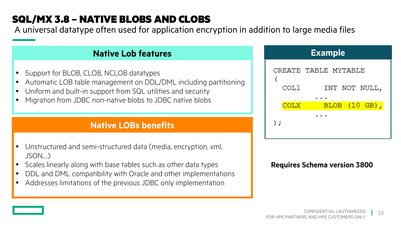## SQL/MX 3.8 – NATIVE BLOBS AND CLOBS

A universal datatype often used for application encryption in addition to large media files

#### **Native Lob features**

- Support for BLOB, CLOB, NCLOB datatypes
- Automatic LOB table management on DDL/DML including partitioning
- Uniform and built-in support from SQL utilities and security
- Migration from JDBC non-native blobs to JDBC native blobs

#### **Native LOBs benefits**

- Unstructured and semi-structured data (media, encryption, xml, JSON,…)
- Scales linearly along with base tables such as other data types
- DDL and DML compatibility with Oracle and other implementations
- Addresses limitations of the previous JDBC only implementation

| <b>Example</b> |                      |  |
|----------------|----------------------|--|
|                | CREATE TABLE MYTABLE |  |
| COL1           | INT NOT NULL,        |  |
| COLX           | $BLOB$ $(10$ GB),    |  |
| $\cdot$        |                      |  |

#### **Requires Schema version 3800**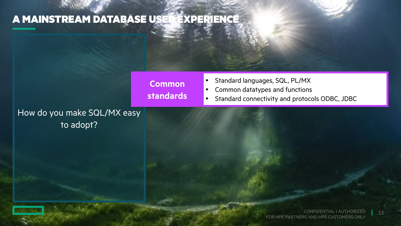## A MAINSTREAM DATABASE USER EXPERIENCE

**Common standards**

- Standard languages, SQL, PL/MX
- Common datatypes and functions
- Standard connectivity and protocols ODBC, JDBC

How do you make SQL/MX easy to adopt?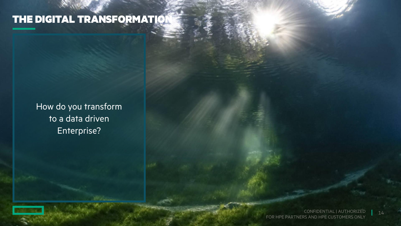# THE DIGITAL TRANSFORMATION

How do you transform to a data driven Enterprise?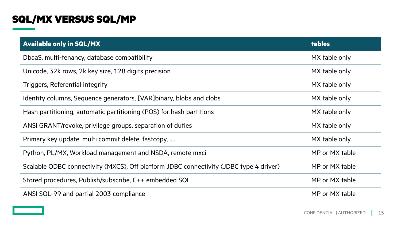#### SQL/MX VERSUS SQL/MP

| <b>Available only in SQL/MX</b>                                                        | <b>tables</b>  |
|----------------------------------------------------------------------------------------|----------------|
| DbaaS, multi-tenancy, database compatibility                                           | MX table only  |
| Unicode, 32k rows, 2k key size, 128 digits precision                                   | MX table only  |
| Triggers, Referential integrity                                                        | MX table only  |
| Identity columns, Sequence generators, [VAR] binary, blobs and clobs                   | MX table only  |
| Hash partitioning, automatic partitioning (POS) for hash partitions                    | MX table only  |
| ANSI GRANT/revoke, privilege groups, separation of duties                              | MX table only  |
| Primary key update, multi commit delete, fastcopy,                                     | MX table only  |
| Python, PL/MX, Workload management and NSDA, remote mxci                               | MP or MX table |
| Scalable ODBC connectivity (MXCS), Off platform JDBC connectivity (JDBC type 4 driver) | MP or MX table |
| Stored procedures, Publish/subscribe, C++ embedded SQL                                 | MP or MX table |
| ANSI SQL-99 and partial 2003 compliance                                                | MP or MX table |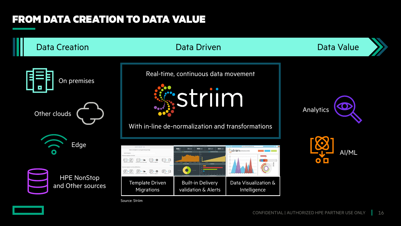## FROM DATA CREATION TO DATA VALUE

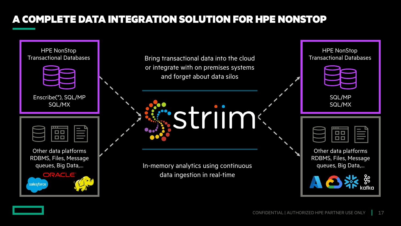## A COMPLETE DATA INTEGRATION SOLUTION FOR HPE NONSTOP

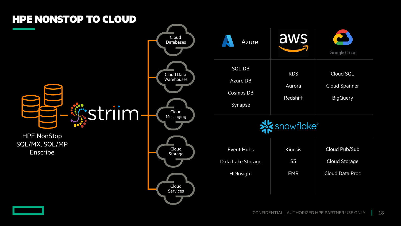

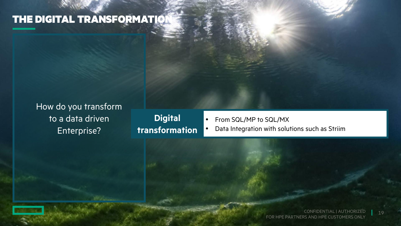## **THE DIGITAL TRANSFORMATION**

How do you transform to a data driven Enterprise?

**Digital transformation**

- From SQL/MP to SQL/MX
- Data Integration with solutions such as Striim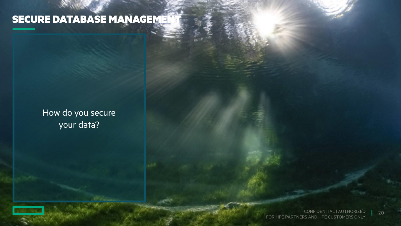# SECURE DATABASE MANAGEMENT

#### How do you secure your data?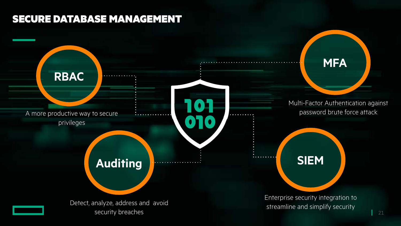#### SECURE DATABASE MANAGEMENT

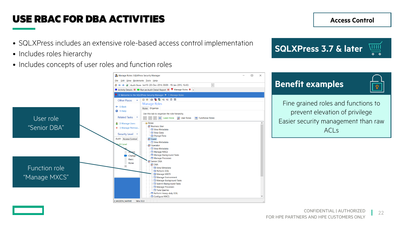#### <span id="page-21-0"></span>USE RBAC FOR DBA ACTIVITIES

- SQLXPress includes an extensive role-based access control implementation
- Includes roles hierarchy
- Includes concepts of user roles and function roles

 $\Omega$ 



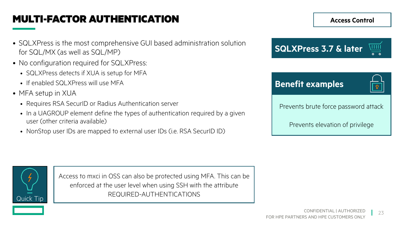### <span id="page-22-0"></span>MULTI-FACTOR AUTHENTICATION

- SQLXPress is the most comprehensive GUI based administration solution for SQL/MX (as well as SQL/MP)
- No configuration required for SQLXPress:
	- SQLXPress detects if XUA is setup for MFA
	- If enabled SQLXPress will use MFA
- MFA setup in XUA
	- Requires RSA SecurID or Radius Authentication server
	- In a UAGROUP element define the types of authentication required by a given user (other criteria available)
	- NonStop user IDs are mapped to external user IDs (i.e. RSA SecurID ID)



Prevents elevation of privilege

**Access Control**



Access to mxci in OSS can also be protected using MFA. This can be enforced at the user level when using SSH with the attribute Quick Tip  $\begin{array}{|c|c|c|}\n\hline\n\text{Quick Tip} & \text{REQUIRED-AUTHENTICATIONS}\n\end{array}$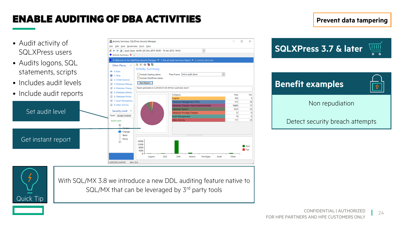#### <span id="page-23-0"></span>ENABLE AUDITING OF DBA ACTIVITIES

Activity Summary: SQLXPress Security Manage

2\_MIZZEN\_NATIVE Win 10.0

 $\langle \vert \vert \vert \vert \vert \vert$ 

- Audit activity of SQLXPress users
- Audits logons, SQL statements, scripts
- Includes audit levels
- Include audit reports

Set audit level





With SQL/MX 3.8 we introduce a new DDL auditing feature native to SQL/MX that can be leveraged by 3<sup>rd</sup> party tools



 $\Box$  $\mathord{\hspace{1pt}\text{--}\hspace{1pt}}\times$ 

 $\overline{\phantom{0}}$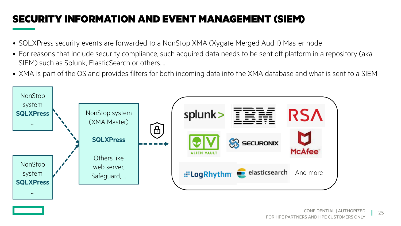### <span id="page-24-0"></span>SECURITY INFORMATION AND EVENT MANAGEMENT (SIEM)

- SQLXPress security events are forwarded to a NonStop XMA (Xygate Merged Audit) Master node
- For reasons that include security compliance, such acquired data needs to be sent off platform in a repository (aka SIEM) such as Splunk, ElasticSearch or others….
- XMA is part of the OS and provides filters for both incoming data into the XMA database and what is sent to a SIEM

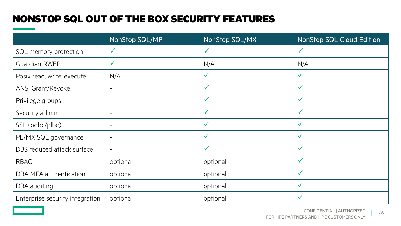## NONSTOP SQL OUT OF THE BOX SECURITY FEATURES

|                                 | <b>NonStop SQL/MP</b> | NonStop SQL/MX | <b>NonStop SQL Cloud Edition</b> |
|---------------------------------|-----------------------|----------------|----------------------------------|
| SQL memory protection           |                       | $\checkmark$   |                                  |
| Guardian RWEP                   |                       | N/A            | N/A                              |
| Posix read, write, execute      | N/A                   | $\checkmark$   | $\checkmark$                     |
| <b>ANSI Grant/Revoke</b>        |                       | $\checkmark$   |                                  |
| Privilege groups                |                       | $\checkmark$   | $\checkmark$                     |
| Security admin                  |                       | $\checkmark$   | $\checkmark$                     |
| SSL (odbc/jdbc)                 |                       | $\checkmark$   | ✓                                |
| PL/MX SQL governance            |                       | $\checkmark$   |                                  |
| DBS reduced attack surface      |                       | $\checkmark$   | $\checkmark$                     |
| <b>RBAC</b>                     | optional              | optional       | ✓                                |
| DBA MFA authentication          | optional              | optional       |                                  |
| DBA auditing                    | optional              | optional       | $\checkmark$                     |
| Enterprise security integration | optional              | optional       | ✓                                |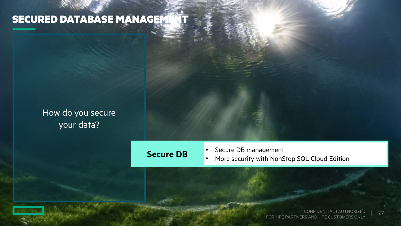# SECURED DATABASE MANAGEMENT

#### How do you secure your data?

#### **Secure DB**

- Secure DB management
- More security with NonStop SQL Cloud Edition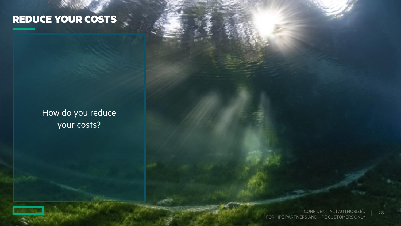# REDUCE YOUR COSTS

#### How do you reduce your costs?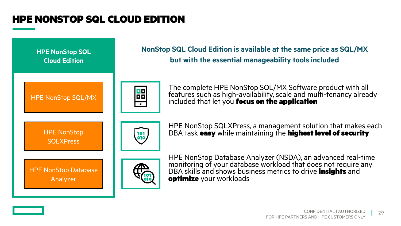#### HPE NONSTOP SQL CLOUD EDITION

**NonStop SQL Cloud Edition is available at the same price as SQL/MX HPE NonStop SQL but with the essential manageability tools includedCloud Edition** The complete HPE NonStop SQL/MX Software product with all 88 features such as high-availability, scale and multi-tenancy already HPE NonStop SQL/MX included that let you focus on the application  $\overline{\phantom{a}}$ HPE NonStop SQLXPress, a management solution that makes each DBA task easy while maintaining the highest level of security HPE NonStop 101<br>010 **SQLXPress** HPE NonStop Database Analyzer (NSDA), an advanced real-time monitoring of your database workload that does not require any **HPE NonStop Database** DBA skills and shows business metrics to drive **insights** and optimize your workloads Analyzer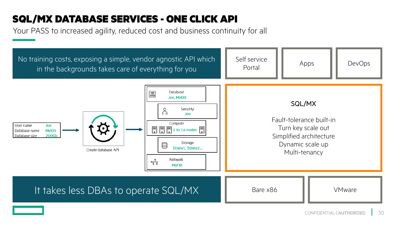#### SQL/MX DATABASE SERVICES - ONE CLICK API

Your PASS to increased agility, reduced cost and business continuity for all

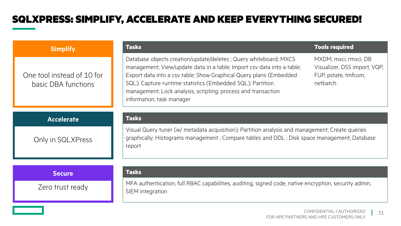#### SQLXPRESS: SIMPLIFY, ACCELERATE AND KEEP EVERYTHING SECURED!

| <b>Simplify</b>                                   | <b>Tasks</b><br><b>Tools required</b>                                                                                                                                                                                                                                                                                                                                                                                                                                      |  |
|---------------------------------------------------|----------------------------------------------------------------------------------------------------------------------------------------------------------------------------------------------------------------------------------------------------------------------------------------------------------------------------------------------------------------------------------------------------------------------------------------------------------------------------|--|
| One tool instead of 10 for<br>basic DBA functions | Database objects creation/update/deletes ; Query whiteboard; MXCS<br>MXDM, mxci, rmxci, DB<br>management; View/update data in a table; Import csv data into a table;<br>Visualizer, OSS import, VQP,<br>Export data into a csv table; Show Graphical Query plans (Embedded<br>FUP, pstate, tmfcom,<br>SQL); Capture runtime statistics (Embedded SQL); Partition<br>netbatch<br>management; Lock analysis, scripting; process and transaction<br>information; task manager |  |
| <b>Accelerate</b>                                 | <b>Tasks</b>                                                                                                                                                                                                                                                                                                                                                                                                                                                               |  |
| Only in SQLXPress                                 | Visual Query tuner (w/ metadata acquisition); Partition analysis and management; Create queries<br>graphically; Histograms management; Compare tables and DDL; Disk space management; Database<br>report                                                                                                                                                                                                                                                                   |  |
| <b>Secure</b>                                     | <b>Tasks</b>                                                                                                                                                                                                                                                                                                                                                                                                                                                               |  |
| Zero trust ready                                  | MFA authentication, full RBAC capabilities, auditing, signed code, native encryption, security admin,<br>SIEM integration                                                                                                                                                                                                                                                                                                                                                  |  |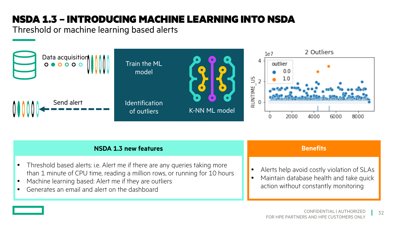## NSDA 1.3 – INTRODUCING MACHINE LEARNING INTO NSDA

Threshold or machine learning based alerts



| <b>NSDA 1.3 new features</b>                                                                                                                                                                                                                                         | <b>Benefits</b>                                                                                                               |
|----------------------------------------------------------------------------------------------------------------------------------------------------------------------------------------------------------------------------------------------------------------------|-------------------------------------------------------------------------------------------------------------------------------|
| Threshold based alerts: i.e. Alert me if there are any queries taking more<br>than 1 minute of CPU time, reading a million rows, or running for 10 hours<br>Machine learning based: Alert me if they are outliers<br>• Generates an email and alert on the dashboard | Alerts help avoid costly violation of SLAs<br>Maintain database health and take quick<br>action without constantly monitoring |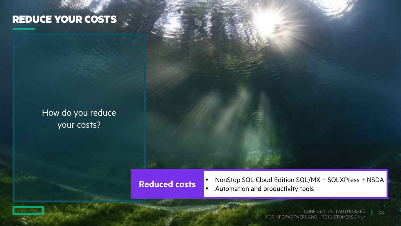## REDUCE YOUR COSTS

2

#### How do you reduce your costs?

#### **Reduced costs**

• NonStop SQL Cloud Edition SQL/MX + SQLXPress + NSDA

• Automation and productivity tools

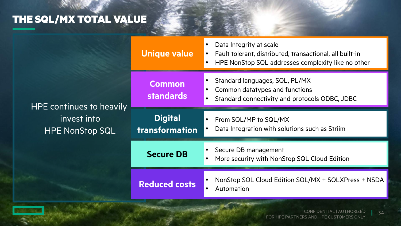# THE SQL/MX TOTAL VALUE

| HPE continues to heavily<br>invest into<br><b>HPE NonStop SQL</b> | <b>Unique value</b>                     | Data Integrity at scale<br>Fault tolerant, distributed, transactional, all built-in<br>HPE NonStop SQL addresses complexity like no other |
|-------------------------------------------------------------------|-----------------------------------------|-------------------------------------------------------------------------------------------------------------------------------------------|
|                                                                   | <b>Common</b><br><b>standards</b>       | Standard languages, SQL, PL/MX<br>Common datatypes and functions<br>Standard connectivity and protocols ODBC, JDBC<br>$\bullet$           |
|                                                                   | <b>Digital</b><br><b>transformation</b> | From SQL/MP to SQL/MX<br>Data Integration with solutions such as Striim                                                                   |
|                                                                   | <b>Secure DB</b>                        | Secure DB management<br>More security with NonStop SQL Cloud Edition                                                                      |
|                                                                   | <b>Reduced costs</b>                    | NonStop SQL Cloud Edition SQL/MX + SQLXPress + NSDA<br>Automation<br>$\bullet$                                                            |

CONFIDENTIAL | AUTHORIZED FOR HPE PARTNERS AND HPE CUSTOMERS ONLY 34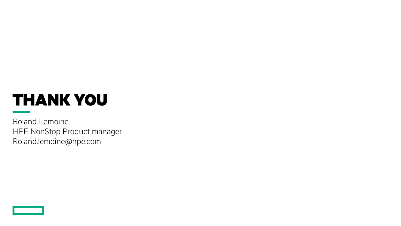# THANK YOU

Roland Lemoine HPE NonStop Product manager Roland.lemoine@hpe.com

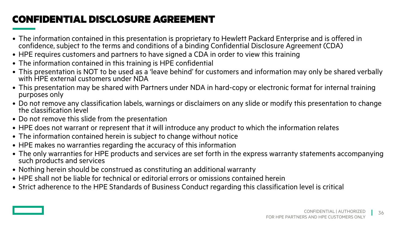## CONFIDENTIAL DISCLOSURE AGREEMENT

- The information contained in this presentation is proprietary to Hewlett Packard Enterprise and is offered in confidence, subject to the terms and conditions of a binding Confidential Disclosure Agreement (CDA)
- HPE requires customers and partners to have signed a CDA in order to view this training
- The information contained in this training is HPE confidential
- This presentation is NOT to be used as a 'leave behind' for customers and information may only be shared verbally with HPE external customers under NDA
- This presentation may be shared with Partners under NDA in hard-copy or electronic format for internal training purposes only
- Do not remove any classification labels, warnings or disclaimers on any slide or modify this presentation to change the classification level
- Do not remove this slide from the presentation
- HPE does not warrant or represent that it will introduce any product to which the information relates
- The information contained herein is subject to change without notice
- HPE makes no warranties regarding the accuracy of this information
- The only warranties for HPE products and services are set forth in the express warranty statements accompanying such products and services
- Nothing herein should be construed as constituting an additional warranty
- HPE shall not be liable for technical or editorial errors or omissions contained herein
- Strict adherence to the HPE Standards of Business Conduct regarding this classification level is critical